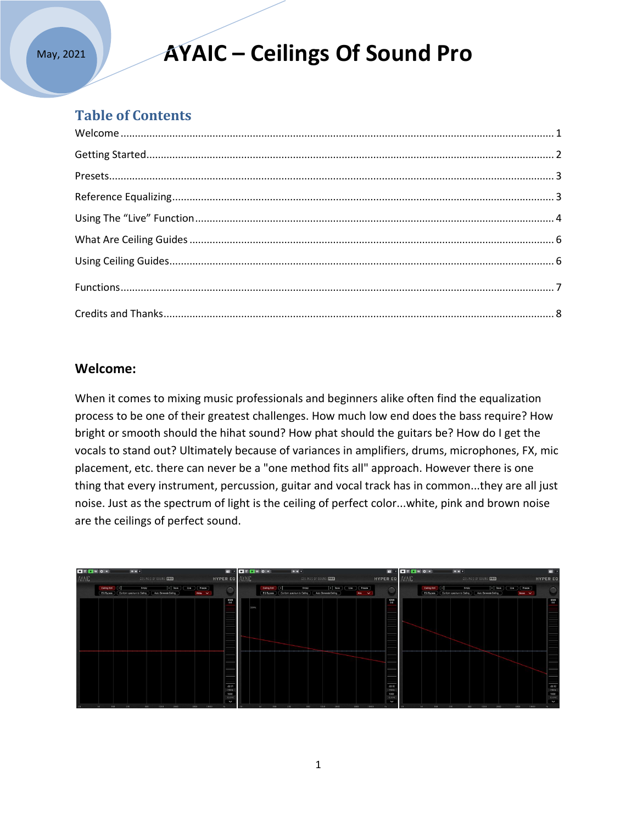## **AYAIC – Ceilings Of Sound Pro**

### **Table of Contents**

### **Welcome:**

When it comes to mixing music professionals and beginners alike often find the equalization process to be one of their greatest challenges. How much low end does the bass require? How bright or smooth should the hihat sound? How phat should the guitars be? How do I get the vocals to stand out? Ultimately because of variances in amplifiers, drums, microphones, FX, mic placement, etc. there can never be a "one method fits all" approach. However there is one thing that every instrument, percussion, guitar and vocal track has in common...they are all just noise. Just as the spectrum of light is the ceiling of perfect color...white, pink and brown noise are the ceilings of perfect sound.

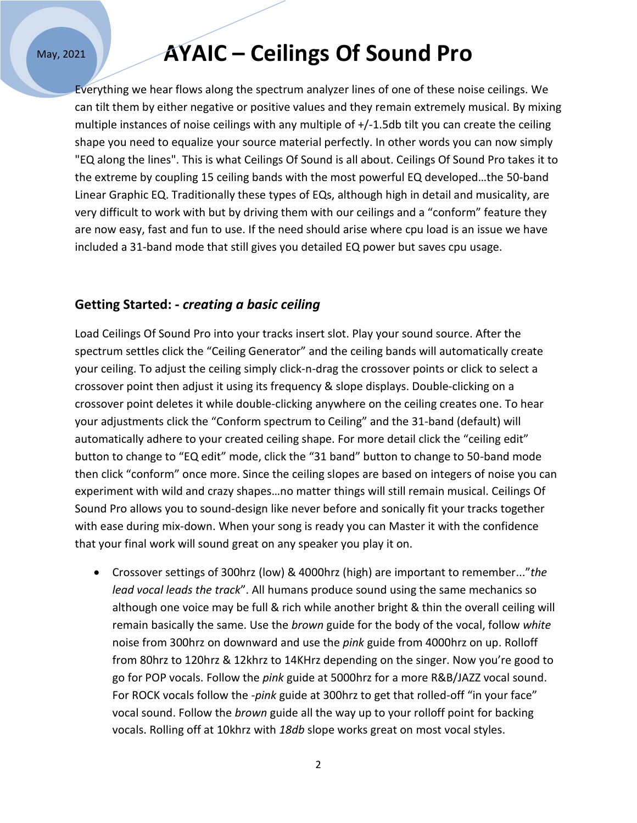### **AYAIC – Ceilings Of Sound Pro**

Everything we hear flows along the spectrum analyzer lines of one of these noise ceilings. We can tilt them by either negative or positive values and they remain extremely musical. By mixing multiple instances of noise ceilings with any multiple of +/-1.5db tilt you can create the ceiling shape you need to equalize your source material perfectly. In other words you can now simply "EQ along the lines". This is what Ceilings Of Sound is all about. Ceilings Of Sound Pro takes it to the extreme by coupling 15 ceiling bands with the most powerful EQ developed…the 50-band Linear Graphic EQ. Traditionally these types of EQs, although high in detail and musicality, are very difficult to work with but by driving them with our ceilings and a "conform" feature they are now easy, fast and fun to use. If the need should arise where cpu load is an issue we have included a 31-band mode that still gives you detailed EQ power but saves cpu usage.

#### **Getting Started: -** *creating a basic ceiling*

Load Ceilings Of Sound Pro into your tracks insert slot. Play your sound source. After the spectrum settles click the "Ceiling Generator" and the ceiling bands will automatically create your ceiling. To adjust the ceiling simply click-n-drag the crossover points or click to select a crossover point then adjust it using its frequency & slope displays. Double-clicking on a crossover point deletes it while double-clicking anywhere on the ceiling creates one. To hear your adjustments click the "Conform spectrum to Ceiling" and the 31-band (default) will automatically adhere to your created ceiling shape. For more detail click the "ceiling edit" button to change to "EQ edit" mode, click the "31 band" button to change to 50-band mode then click "conform" once more. Since the ceiling slopes are based on integers of noise you can experiment with wild and crazy shapes…no matter things will still remain musical. Ceilings Of Sound Pro allows you to sound-design like never before and sonically fit your tracks together with ease during mix-down. When your song is ready you can Master it with the confidence that your final work will sound great on any speaker you play it on.

 Crossover settings of 300hrz (low) & 4000hrz (high) are important to remember..."*the lead vocal leads the track*". All humans produce sound using the same mechanics so although one voice may be full & rich while another bright & thin the overall ceiling will remain basically the same. Use the *brown* guide for the body of the vocal, follow *white* noise from 300hrz on downward and use the *pink* guide from 4000hrz on up. Rolloff from 80hrz to 120hrz & 12khrz to 14KHrz depending on the singer. Now you're good to go for POP vocals. Follow the *pink* guide at 5000hrz for a more R&B/JAZZ vocal sound. For ROCK vocals follow the -*pink* guide at 300hrz to get that rolled-off "in your face" vocal sound. Follow the *brown* guide all the way up to your rolloff point for backing vocals. Rolling off at 10khrz with *18db* slope works great on most vocal styles.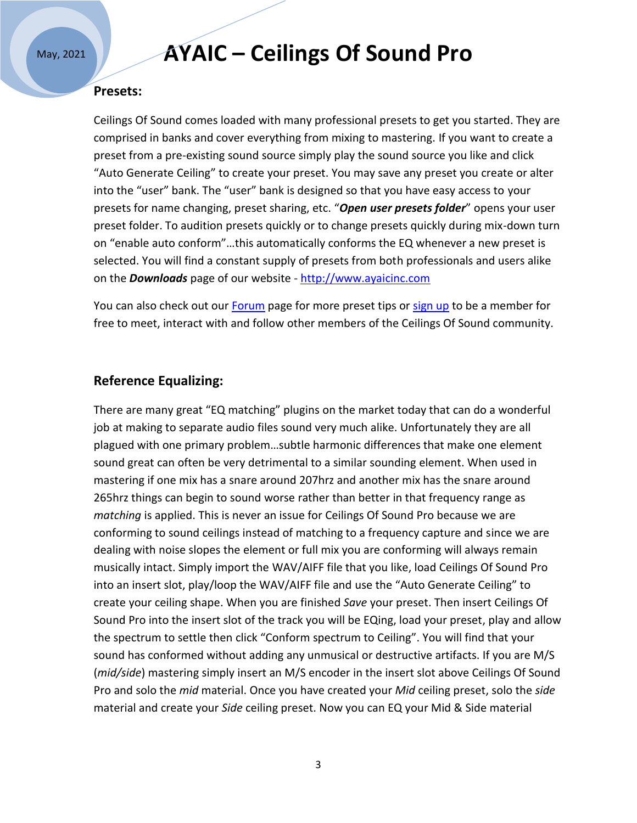### **AYAIC – Ceilings Of Sound Pro**

#### **Presets:**

Ceilings Of Sound comes loaded with many professional presets to get you started. They are comprised in banks and cover everything from mixing to mastering. If you want to create a preset from a pre-existing sound source simply play the sound source you like and click "Auto Generate Ceiling" to create your preset. You may save any preset you create or alter into the "user" bank. The "user" bank is designed so that you have easy access to your presets for name changing, preset sharing, etc. "*Open user presets folder*" opens your user preset folder. To audition presets quickly or to change presets quickly during mix-down turn on "enable auto conform"…this automatically conforms the EQ whenever a new preset is selected. You will find a constant supply of presets from both professionals and users alike on the *Downloads* page of our website - [http://www.ayaicinc.com](http://www.ayaicinc.com/)

You can also check out our [Forum](https://www.ayaicinc.com/forum/equalizing-discussions) page for more preset tips or [sign up](http://www.ayaicinc.com/members-1) to be a member for free to meet, interact with and follow other members of the Ceilings Of Sound community.

### **Reference Equalizing:**

There are many great "EQ matching" plugins on the market today that can do a wonderful job at making to separate audio files sound very much alike. Unfortunately they are all plagued with one primary problem…subtle harmonic differences that make one element sound great can often be very detrimental to a similar sounding element. When used in mastering if one mix has a snare around 207hrz and another mix has the snare around 265hrz things can begin to sound worse rather than better in that frequency range as *matching* is applied. This is never an issue for Ceilings Of Sound Pro because we are conforming to sound ceilings instead of matching to a frequency capture and since we are dealing with noise slopes the element or full mix you are conforming will always remain musically intact. Simply import the WAV/AIFF file that you like, load Ceilings Of Sound Pro into an insert slot, play/loop the WAV/AIFF file and use the "Auto Generate Ceiling" to create your ceiling shape. When you are finished *Save* your preset. Then insert Ceilings Of Sound Pro into the insert slot of the track you will be EQing, load your preset, play and allow the spectrum to settle then click "Conform spectrum to Ceiling". You will find that your sound has conformed without adding any unmusical or destructive artifacts. If you are M/S (*mid/side*) mastering simply insert an M/S encoder in the insert slot above Ceilings Of Sound Pro and solo the *mid* material. Once you have created your *Mid* ceiling preset, solo the *side* material and create your *Side* ceiling preset. Now you can EQ your Mid & Side material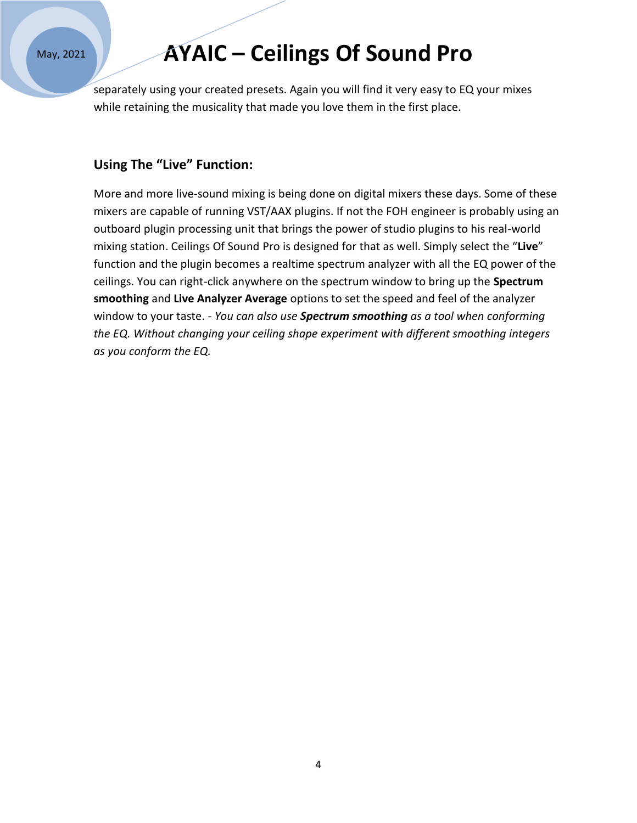# **AYAIC – Ceilings Of Sound Pro**

separately using your created presets. Again you will find it very easy to EQ your mixes while retaining the musicality that made you love them in the first place.

### **Using The "Live" Function:**

More and more live-sound mixing is being done on digital mixers these days. Some of these mixers are capable of running VST/AAX plugins. If not the FOH engineer is probably using an outboard plugin processing unit that brings the power of studio plugins to his real-world mixing station. Ceilings Of Sound Pro is designed for that as well. Simply select the "**Live**" function and the plugin becomes a realtime spectrum analyzer with all the EQ power of the ceilings. You can right-click anywhere on the spectrum window to bring up the **Spectrum smoothing** and **Live Analyzer Average** options to set the speed and feel of the analyzer window to your taste. - *You can also use Spectrum smoothing as a tool when conforming the EQ. Without changing your ceiling shape experiment with different smoothing integers as you conform the EQ.*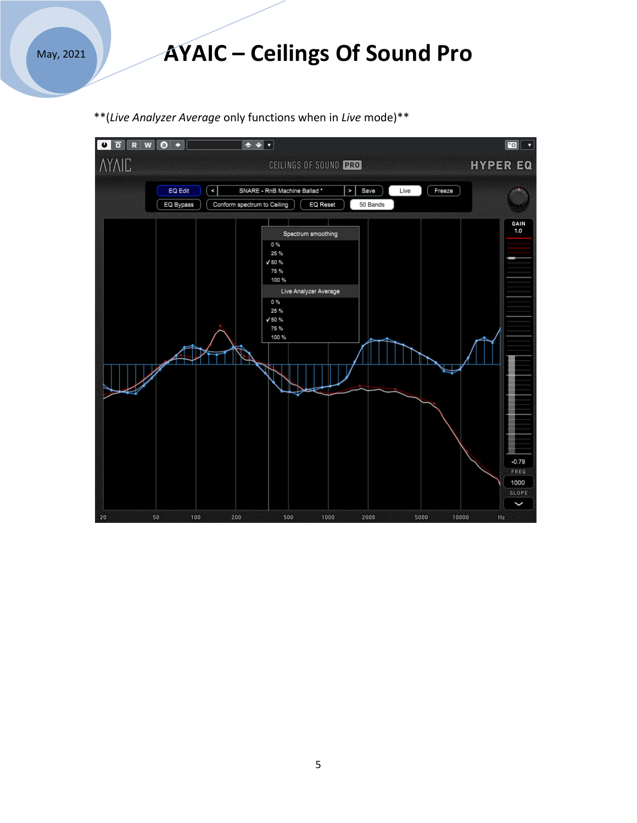### **AYAIC – Ceilings Of Sound Pro**

\*\*(*Live Analyzer Average* only functions when in *Live* mode)\*\*

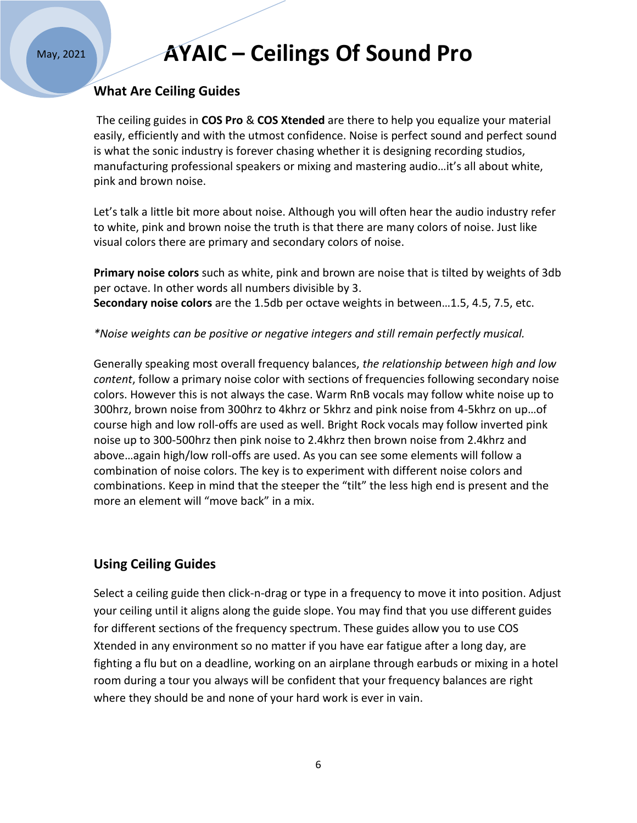# **AYAIC – Ceilings Of Sound Pro**

#### **What Are Ceiling Guides**

The ceiling guides in **COS Pro** & **COS Xtended** are there to help you equalize your material easily, efficiently and with the utmost confidence. Noise is perfect sound and perfect sound is what the sonic industry is forever chasing whether it is designing recording studios, manufacturing professional speakers or mixing and mastering audio…it's all about white, pink and brown noise.

Let's talk a little bit more about noise. Although you will often hear the audio industry refer to white, pink and brown noise the truth is that there are many colors of noise. Just like visual colors there are primary and secondary colors of noise.

**Primary noise colors** such as white, pink and brown are noise that is tilted by weights of 3db per octave. In other words all numbers divisible by 3. **Secondary noise colors** are the 1.5db per octave weights in between…1.5, 4.5, 7.5, etc.

*\*Noise weights can be positive or negative integers and still remain perfectly musical.* 

Generally speaking most overall frequency balances, *the relationship between high and low content*, follow a primary noise color with sections of frequencies following secondary noise colors. However this is not always the case. Warm RnB vocals may follow white noise up to 300hrz, brown noise from 300hrz to 4khrz or 5khrz and pink noise from 4-5khrz on up…of course high and low roll-offs are used as well. Bright Rock vocals may follow inverted pink noise up to 300-500hrz then pink noise to 2.4khrz then brown noise from 2.4khrz and above…again high/low roll-offs are used. As you can see some elements will follow a combination of noise colors. The key is to experiment with different noise colors and combinations. Keep in mind that the steeper the "tilt" the less high end is present and the more an element will "move back" in a mix.

### **Using Ceiling Guides**

Select a ceiling guide then click-n-drag or type in a frequency to move it into position. Adjust your ceiling until it aligns along the guide slope. You may find that you use different guides for different sections of the frequency spectrum. These guides allow you to use COS Xtended in any environment so no matter if you have ear fatigue after a long day, are fighting a flu but on a deadline, working on an airplane through earbuds or mixing in a hotel room during a tour you always will be confident that your frequency balances are right where they should be and none of your hard work is ever in vain.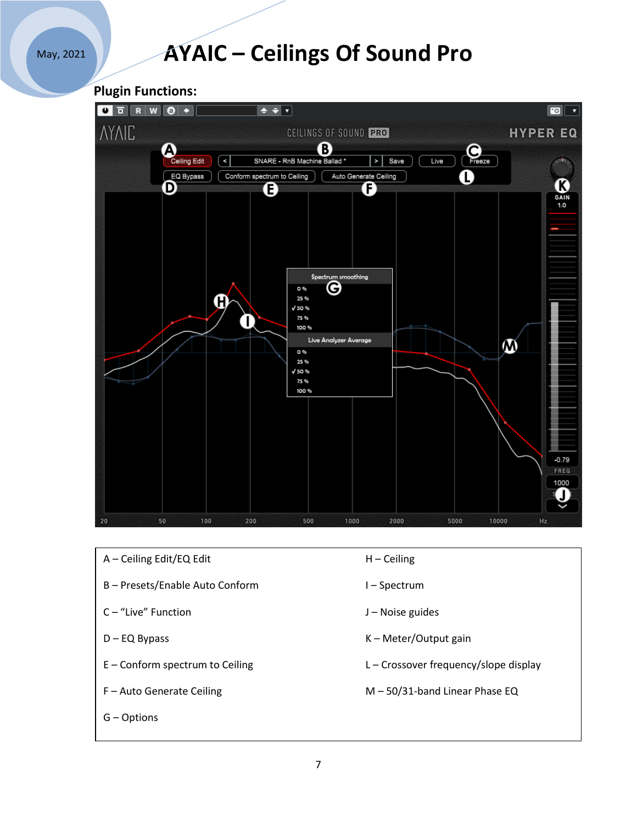# **AYAIC – Ceilings Of Sound Pro**





- A Ceiling Edit/EQ Edit H Ceiling
- B Presets/Enable Auto Conform I Spectrum
- C "Live" Function and T is a state of the U Noise guides
- 
- 
- 
- G Options
- 
- 
- 
- D EQ Bypass K Meter/Output gain
- E Conform spectrum to Ceiling L Crossover frequency/slope display
- F Auto Generate Ceiling M 50/31-band Linear Phase EQ